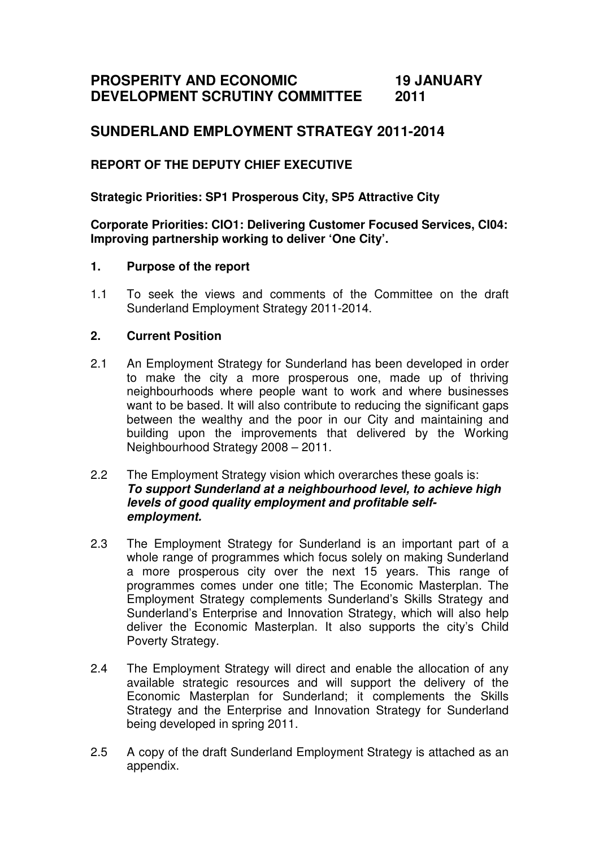#### **PROSPERITY AND ECONOMIC DEVELOPMENT SCRUTINY COMMITTEE 19 JANUARY 2011**

# **SUNDERLAND EMPLOYMENT STRATEGY 2011-2014**

## **REPORT OF THE DEPUTY CHIEF EXECUTIVE**

**Strategic Priorities: SP1 Prosperous City, SP5 Attractive City** 

### **Corporate Priorities: CIO1: Delivering Customer Focused Services, CI04: Improving partnership working to deliver 'One City'.**

### **1. Purpose of the report**

1.1 To seek the views and comments of the Committee on the draft Sunderland Employment Strategy 2011-2014.

## **2. Current Position**

2.1 An Employment Strategy for Sunderland has been developed in order to make the city a more prosperous one, made up of thriving neighbourhoods where people want to work and where businesses want to be based. It will also contribute to reducing the significant gaps between the wealthy and the poor in our City and maintaining and building upon the improvements that delivered by the Working Neighbourhood Strategy 2008 – 2011.

#### 2.2 The Employment Strategy vision which overarches these goals is: **To support Sunderland at a neighbourhood level, to achieve high levels of good quality employment and profitable selfemployment.**

- 2.3 The Employment Strategy for Sunderland is an important part of a whole range of programmes which focus solely on making Sunderland a more prosperous city over the next 15 years. This range of programmes comes under one title; The Economic Masterplan. The Employment Strategy complements Sunderland's Skills Strategy and Sunderland's Enterprise and Innovation Strategy, which will also help deliver the Economic Masterplan. It also supports the city's Child Poverty Strategy.
- 2.4 The Employment Strategy will direct and enable the allocation of any available strategic resources and will support the delivery of the Economic Masterplan for Sunderland; it complements the Skills Strategy and the Enterprise and Innovation Strategy for Sunderland being developed in spring 2011.
- 2.5 A copy of the draft Sunderland Employment Strategy is attached as an appendix.